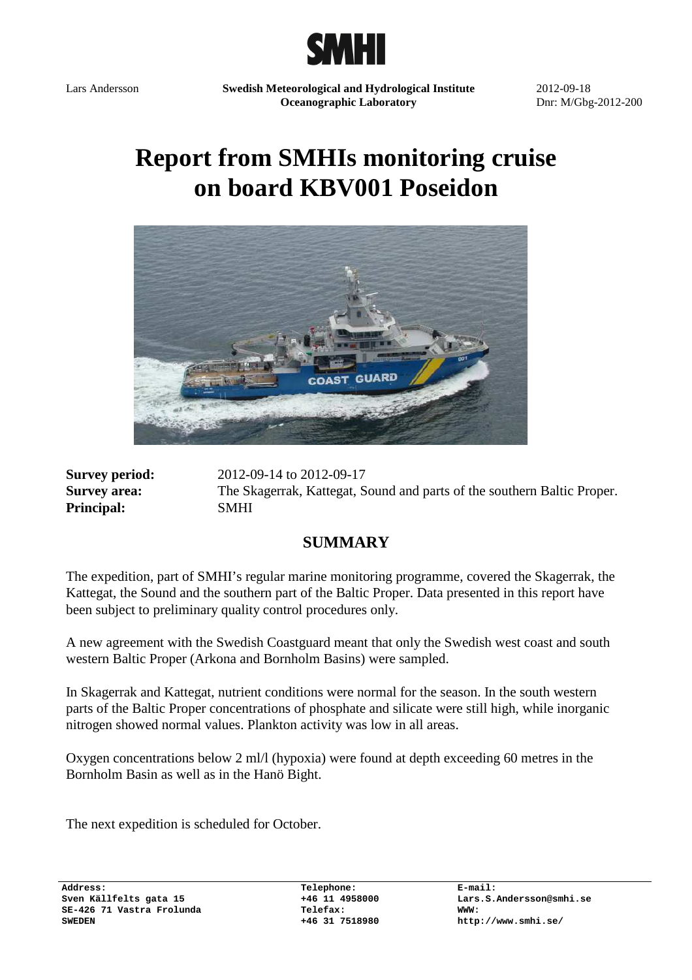

Lars Andersson **Swedish Meteorological and Hydrological Institute Oceanographic Laboratory** 

2012-09-18 Dnr: M/Gbg-2012-200

# **Report from SMHIs monitoring cruise on board KBV001 Poseidon**



**Principal:** SMHI

**Survey period:** 2012-09-14 to 2012-09-17 **Survey area:** The Skagerrak, Kattegat, Sound and parts of the southern Baltic Proper.

## **SUMMARY**

The expedition, part of SMHI's regular marine monitoring programme, covered the Skagerrak, the Kattegat, the Sound and the southern part of the Baltic Proper. Data presented in this report have been subject to preliminary quality control procedures only.

A new agreement with the Swedish Coastguard meant that only the Swedish west coast and south western Baltic Proper (Arkona and Bornholm Basins) were sampled.

In Skagerrak and Kattegat, nutrient conditions were normal for the season. In the south western parts of the Baltic Proper concentrations of phosphate and silicate were still high, while inorganic nitrogen showed normal values. Plankton activity was low in all areas.

Oxygen concentrations below 2 ml/l (hypoxia) were found at depth exceeding 60 metres in the Bornholm Basin as well as in the Hanö Bight.

The next expedition is scheduled for October.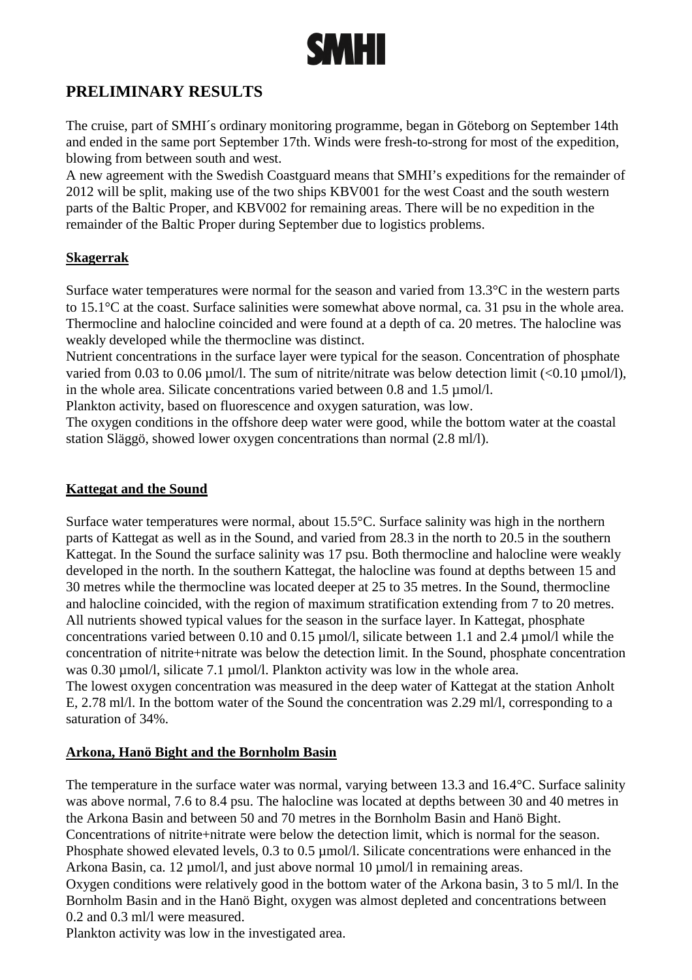

# **PRELIMINARY RESULTS**

The cruise, part of SMHI´s ordinary monitoring programme, began in Göteborg on September 14th and ended in the same port September 17th. Winds were fresh-to-strong for most of the expedition, blowing from between south and west.

A new agreement with the Swedish Coastguard means that SMHI's expeditions for the remainder of 2012 will be split, making use of the two ships KBV001 for the west Coast and the south western parts of the Baltic Proper, and KBV002 for remaining areas. There will be no expedition in the remainder of the Baltic Proper during September due to logistics problems.

## **Skagerrak**

Surface water temperatures were normal for the season and varied from 13.3°C in the western parts to 15.1°C at the coast. Surface salinities were somewhat above normal, ca. 31 psu in the whole area. Thermocline and halocline coincided and were found at a depth of ca. 20 metres. The halocline was weakly developed while the thermocline was distinct.

Nutrient concentrations in the surface layer were typical for the season. Concentration of phosphate varied from 0.03 to 0.06  $\mu$ mol/l. The sum of nitrite/nitrate was below detection limit (<0.10  $\mu$ mol/l), in the whole area. Silicate concentrations varied between 0.8 and 1.5  $\mu$ mol/l.

Plankton activity, based on fluorescence and oxygen saturation, was low.

The oxygen conditions in the offshore deep water were good, while the bottom water at the coastal station Släggö, showed lower oxygen concentrations than normal (2.8 ml/l).

#### **Kattegat and the Sound**

Surface water temperatures were normal, about 15.5°C. Surface salinity was high in the northern parts of Kattegat as well as in the Sound, and varied from 28.3 in the north to 20.5 in the southern Kattegat. In the Sound the surface salinity was 17 psu. Both thermocline and halocline were weakly developed in the north. In the southern Kattegat, the halocline was found at depths between 15 and 30 metres while the thermocline was located deeper at 25 to 35 metres. In the Sound, thermocline and halocline coincided, with the region of maximum stratification extending from 7 to 20 metres. All nutrients showed typical values for the season in the surface layer. In Kattegat, phosphate concentrations varied between 0.10 and 0.15 µmol/l, silicate between 1.1 and 2.4 µmol/l while the concentration of nitrite+nitrate was below the detection limit. In the Sound, phosphate concentration was 0.30  $\mu$ mol/l, silicate 7.1  $\mu$ mol/l. Plankton activity was low in the whole area.

The lowest oxygen concentration was measured in the deep water of Kattegat at the station Anholt E, 2.78 ml/l. In the bottom water of the Sound the concentration was 2.29 ml/l, corresponding to a saturation of 34%.

#### **Arkona, Hanö Bight and the Bornholm Basin**

The temperature in the surface water was normal, varying between 13.3 and 16.4°C. Surface salinity was above normal, 7.6 to 8.4 psu. The halocline was located at depths between 30 and 40 metres in the Arkona Basin and between 50 and 70 metres in the Bornholm Basin and Hanö Bight. Concentrations of nitrite+nitrate were below the detection limit, which is normal for the season. Phosphate showed elevated levels, 0.3 to 0.5  $\mu$ mol/l. Silicate concentrations were enhanced in the Arkona Basin, ca. 12  $\mu$ mol/l, and just above normal 10  $\mu$ mol/l in remaining areas.

Oxygen conditions were relatively good in the bottom water of the Arkona basin, 3 to 5 ml/l. In the Bornholm Basin and in the Hanö Bight, oxygen was almost depleted and concentrations between 0.2 and 0.3 ml/l were measured.

Plankton activity was low in the investigated area.